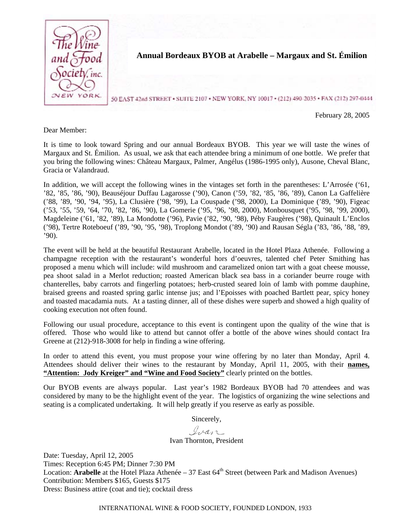

Dear Member:

It is time to look toward Spring and our annual Bordeaux BYOB. This year we will taste the wines of Margaux and St. Émilion. As usual, we ask that each attendee bring a minimum of one bottle. We prefer that you bring the following wines: Château Margaux, Palmer, Angélus (1986-1995 only), Ausone, Cheval Blanc, Gracia or Valandraud.

In addition, we will accept the following wines in the vintages set forth in the parentheses: L'Arrosée ('61, '82, '85, '86, '90), Beauséjour Duffau Lagarosse ('90), Canon ('59, '82, '85, '86, '89), Canon La Gaffelière ('88, '89, '90, '94, '95), La Clusière ('98, '99), La Couspade ('98, 2000), La Dominique ('89, '90), Figeac ('53, '55, '59, '64, '70, '82, '86, '90), La Gomerie ('95, '96, '98, 2000), Monbousquet ('95, '98, '99, 2000), Magdeleine ('61, '82, '89), La Mondotte ('96), Pavie ('82, '90, '98), Péby Faugères ('98), Quinault L'Enclos ('98), Tertre Roteboeuf ('89, '90, '95, '98), Troplong Mondot ('89, '90) and Rausan Ségla ('83, '86, '88, '89, '90).

The event will be held at the beautiful Restaurant Arabelle, located in the Hotel Plaza Athenée. Following a champagne reception with the restaurant's wonderful hors d'oeuvres, talented chef Peter Smithing has proposed a menu which will include: wild mushroom and caramelized onion tart with a goat cheese mousse, pea shoot salad in a Merlot reduction; roasted American black sea bass in a coriander beurre rouge with chanterelles, baby carrots and fingerling potatoes; herb-crusted seared loin of lamb with pomme dauphine, braised greens and roasted spring garlic intense jus; and l'Epoisses with poached Bartlett pear, spicy honey and toasted macadamia nuts. At a tasting dinner, all of these dishes were superb and showed a high quality of cooking execution not often found.

Following our usual procedure, acceptance to this event is contingent upon the quality of the wine that is offered. Those who would like to attend but cannot offer a bottle of the above wines should contact Ira Greene at (212)-918-3008 for help in finding a wine offering.

In order to attend this event, you must propose your wine offering by no later than Monday, April 4. Attendees should deliver their wines to the restaurant by Monday, April 11, 2005, with their **names,**  "Attention: Jody Kreiger" and "Wine and Food Society" clearly printed on the bottles.

Our BYOB events are always popular. Last year's 1982 Bordeaux BYOB had 70 attendees and was considered by many to be the highlight event of the year. The logistics of organizing the wine selections and seating is a complicated undertaking. It will help greatly if you reserve as early as possible.

Sincerely,

Ivan

Ivan Thornton, President

Date: Tuesday, April 12, 2005 Times: Reception 6:45 PM; Dinner 7:30 PM Location: **Arabelle** at the Hotel Plaza Athenée – 37 East 64<sup>th</sup> Street (between Park and Madison Avenues) Contribution: Members \$165, Guests \$175 Dress: Business attire (coat and tie); cocktail dress

INTERNATIONAL WINE & FOOD SOCIETY, FOUNDED LONDON, 1933